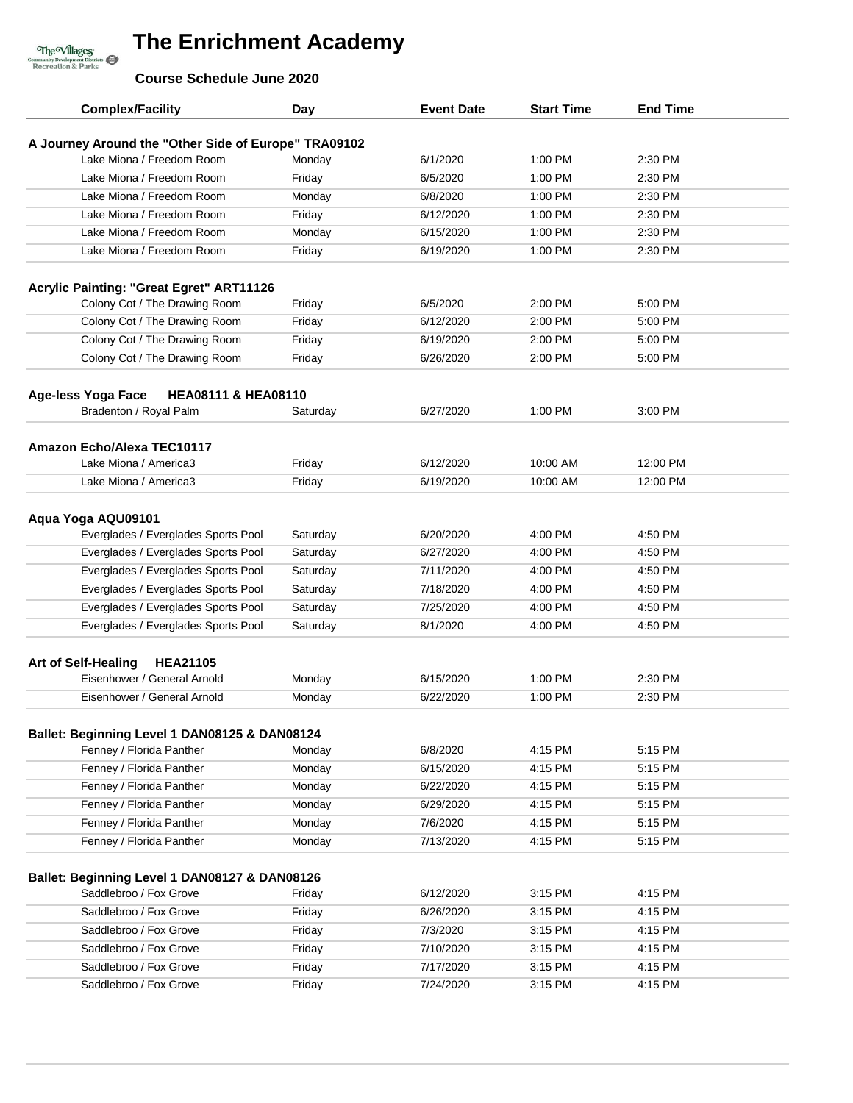**Course Schedule June 2020**

The Willages<br>
Community Development Districts<br>
Recreation & Parks

| <b>Complex/Facility</b>                                                           | Day              | <b>Event Date</b> | <b>Start Time</b> | <b>End Time</b> |
|-----------------------------------------------------------------------------------|------------------|-------------------|-------------------|-----------------|
|                                                                                   |                  |                   |                   |                 |
| A Journey Around the "Other Side of Europe" TRA09102<br>Lake Miona / Freedom Room | Monday           | 6/1/2020          | 1:00 PM           | 2:30 PM         |
| Lake Miona / Freedom Room                                                         | Friday           | 6/5/2020          | 1:00 PM           | 2:30 PM         |
| Lake Miona / Freedom Room                                                         | Monday           | 6/8/2020          | $1:00$ PM         | 2:30 PM         |
| Lake Miona / Freedom Room                                                         |                  |                   |                   |                 |
|                                                                                   | Friday           | 6/12/2020         | 1:00 PM           | 2:30 PM         |
| Lake Miona / Freedom Room                                                         | Monday           | 6/15/2020         | 1:00 PM           | 2:30 PM         |
| Lake Miona / Freedom Room                                                         | Friday           | 6/19/2020         | 1:00 PM           | 2:30 PM         |
| <b>Acrylic Painting: "Great Egret" ART11126</b>                                   |                  |                   |                   |                 |
| Colony Cot / The Drawing Room                                                     | Friday           | 6/5/2020          | 2:00 PM           | 5:00 PM         |
| Colony Cot / The Drawing Room                                                     | Friday           | 6/12/2020         | 2:00 PM           | 5:00 PM         |
| Colony Cot / The Drawing Room                                                     | Friday           | 6/19/2020         | 2:00 PM           | 5:00 PM         |
| Colony Cot / The Drawing Room                                                     | Friday           | 6/26/2020         | 2:00 PM           | 5:00 PM         |
|                                                                                   |                  |                   |                   |                 |
| Age-less Yoga Face<br><b>HEA08111 &amp; HEA08110</b>                              |                  |                   |                   |                 |
| Bradenton / Royal Palm                                                            | Saturday         | 6/27/2020         | 1:00 PM           | 3:00 PM         |
|                                                                                   |                  |                   |                   |                 |
| Amazon Echo/Alexa TEC10117                                                        |                  | 6/12/2020         | 10:00 AM          | 12:00 PM        |
| Lake Miona / America3<br>Lake Miona / America3                                    | Friday<br>Friday | 6/19/2020         | 10:00 AM          | 12:00 PM        |
|                                                                                   |                  |                   |                   |                 |
| Aqua Yoga AQU09101                                                                |                  |                   |                   |                 |
| Everglades / Everglades Sports Pool                                               | Saturday         | 6/20/2020         | 4:00 PM           | 4:50 PM         |
| Everglades / Everglades Sports Pool                                               | Saturday         | 6/27/2020         | 4:00 PM           | 4:50 PM         |
| Everglades / Everglades Sports Pool                                               | Saturday         | 7/11/2020         | 4:00 PM           | 4:50 PM         |
| Everglades / Everglades Sports Pool                                               | Saturday         | 7/18/2020         | 4:00 PM           | 4:50 PM         |
| Everglades / Everglades Sports Pool                                               | Saturday         | 7/25/2020         | 4:00 PM           | 4:50 PM         |
| Everglades / Everglades Sports Pool                                               | Saturday         | 8/1/2020          | 4:00 PM           | 4:50 PM         |
|                                                                                   |                  |                   |                   |                 |
| <b>Art of Self-Healing</b><br><b>HEA21105</b>                                     |                  |                   |                   |                 |
| Eisenhower / General Arnold                                                       | Monday           | 6/15/2020         | 1:00 PM           | 2:30 PM         |
| Eisenhower / General Arnold                                                       | Monday           | 6/22/2020         | 1:00 PM           | 2:30 PM         |
|                                                                                   |                  |                   |                   |                 |
| Ballet: Beginning Level 1 DAN08125 & DAN08124<br>Fenney / Florida Panther         | Monday           | 6/8/2020          | 4:15 PM           | 5:15 PM         |
| Fenney / Florida Panther                                                          | Monday           | 6/15/2020         | 4:15 PM           | 5:15 PM         |
| Fenney / Florida Panther                                                          | Monday           | 6/22/2020         | 4:15 PM           | 5:15 PM         |
| Fenney / Florida Panther                                                          | Monday           | 6/29/2020         | 4:15 PM           | 5:15 PM         |
| Fenney / Florida Panther                                                          | Monday           | 7/6/2020          | 4:15 PM           | 5:15 PM         |
| Fenney / Florida Panther                                                          | Monday           | 7/13/2020         | 4:15 PM           | 5:15 PM         |
|                                                                                   |                  |                   |                   |                 |
| Ballet: Beginning Level 1 DAN08127 & DAN08126                                     |                  |                   |                   |                 |
| Saddlebroo / Fox Grove                                                            | Friday           | 6/12/2020         | 3:15 PM           | 4:15 PM         |
| Saddlebroo / Fox Grove                                                            | Friday           | 6/26/2020         | 3:15 PM           | 4:15 PM         |
| Saddlebroo / Fox Grove                                                            | Friday           | 7/3/2020          | 3:15 PM           | 4:15 PM         |
| Saddlebroo / Fox Grove                                                            | Friday           | 7/10/2020         | 3:15 PM           | 4:15 PM         |
| Saddlebroo / Fox Grove                                                            | Friday           | 7/17/2020         | 3:15 PM           | 4:15 PM         |
| Saddlebroo / Fox Grove                                                            | Friday           | 7/24/2020         | 3:15 PM           | 4:15 PM         |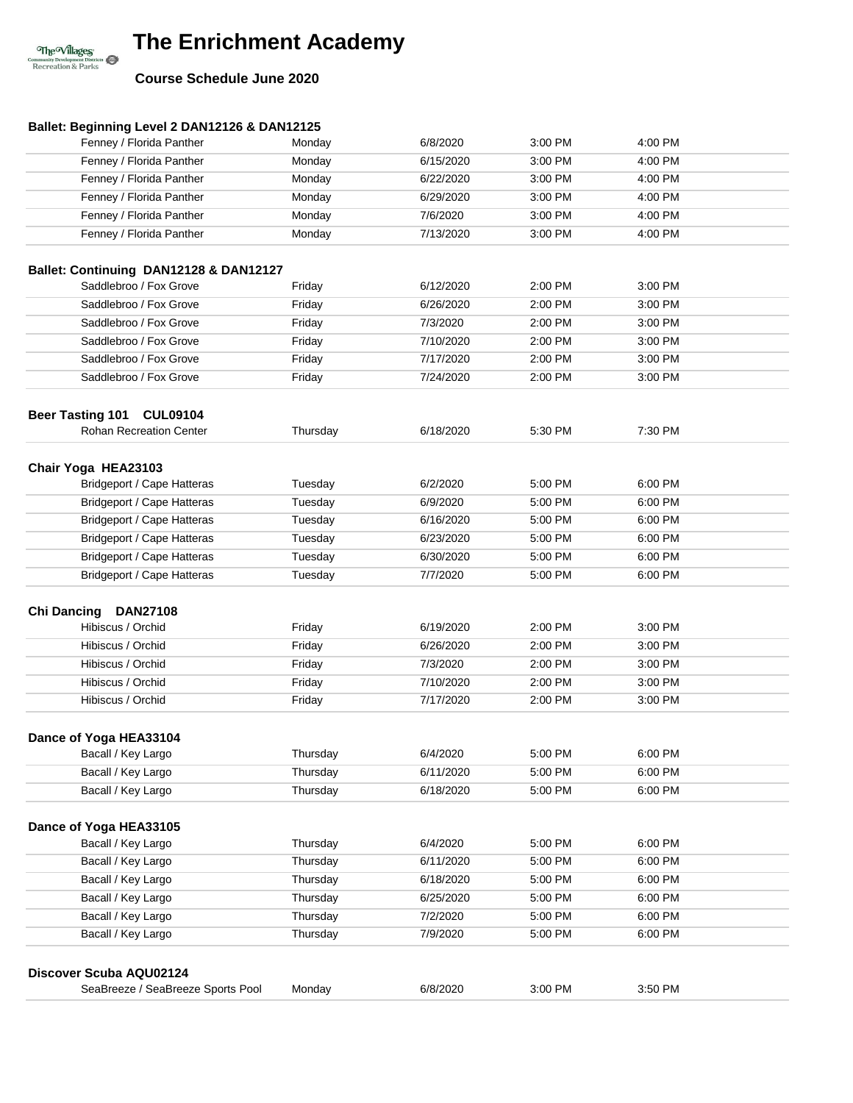### **Course Schedule June 2020**

The Willages<br>
Community Development Districts<br>
Recreation & Parks

| Ballet: Beginning Level 2 DAN12126 & DAN12125 |          |           |         |         |  |
|-----------------------------------------------|----------|-----------|---------|---------|--|
| Fenney / Florida Panther                      | Monday   | 6/8/2020  | 3:00 PM | 4:00 PM |  |
| Fenney / Florida Panther                      | Monday   | 6/15/2020 | 3:00 PM | 4:00 PM |  |
| Fenney / Florida Panther                      | Monday   | 6/22/2020 | 3:00 PM | 4:00 PM |  |
| Fenney / Florida Panther                      | Monday   | 6/29/2020 | 3:00 PM | 4:00 PM |  |
| Fenney / Florida Panther                      | Monday   | 7/6/2020  | 3:00 PM | 4:00 PM |  |
| Fenney / Florida Panther                      | Monday   | 7/13/2020 | 3:00 PM | 4:00 PM |  |
| Ballet: Continuing DAN12128 & DAN12127        |          |           |         |         |  |
| Saddlebroo / Fox Grove                        | Friday   | 6/12/2020 | 2:00 PM | 3:00 PM |  |
| Saddlebroo / Fox Grove                        | Friday   | 6/26/2020 | 2:00 PM | 3:00 PM |  |
| Saddlebroo / Fox Grove                        | Friday   | 7/3/2020  | 2:00 PM | 3:00 PM |  |
| Saddlebroo / Fox Grove                        | Friday   | 7/10/2020 | 2:00 PM | 3:00 PM |  |
| Saddlebroo / Fox Grove                        | Friday   | 7/17/2020 | 2:00 PM | 3:00 PM |  |
| Saddlebroo / Fox Grove                        | Friday   | 7/24/2020 | 2:00 PM | 3:00 PM |  |
|                                               |          |           |         |         |  |
| <b>Beer Tasting 101</b><br><b>CUL09104</b>    |          |           |         |         |  |
| <b>Rohan Recreation Center</b>                | Thursday | 6/18/2020 | 5:30 PM | 7:30 PM |  |
|                                               |          |           |         |         |  |
| Chair Yoga HEA23103                           |          |           |         |         |  |
| Bridgeport / Cape Hatteras                    | Tuesday  | 6/2/2020  | 5:00 PM | 6:00 PM |  |
| Bridgeport / Cape Hatteras                    | Tuesday  | 6/9/2020  | 5:00 PM | 6:00 PM |  |
| <b>Bridgeport / Cape Hatteras</b>             | Tuesday  | 6/16/2020 | 5:00 PM | 6:00 PM |  |
| <b>Bridgeport / Cape Hatteras</b>             | Tuesday  | 6/23/2020 | 5:00 PM | 6:00 PM |  |
| Bridgeport / Cape Hatteras                    | Tuesday  | 6/30/2020 | 5:00 PM | 6:00 PM |  |
| Bridgeport / Cape Hatteras                    | Tuesday  | 7/7/2020  | 5:00 PM | 6:00 PM |  |
|                                               |          |           |         |         |  |
| Chi Dancing DAN27108<br>Hibiscus / Orchid     | Friday   | 6/19/2020 | 2:00 PM | 3:00 PM |  |
| Hibiscus / Orchid                             | Friday   | 6/26/2020 | 2:00 PM | 3:00 PM |  |
| Hibiscus / Orchid                             | Friday   | 7/3/2020  | 2:00 PM | 3:00 PM |  |
| Hibiscus / Orchid                             | Friday   | 7/10/2020 | 2:00 PM | 3:00 PM |  |
| Hibiscus / Orchid                             |          |           |         | 3:00 PM |  |
|                                               | Friday   | 7/17/2020 | 2:00 PM |         |  |
| Dance of Yoga HEA33104                        |          |           |         |         |  |
| Bacall / Key Largo                            | Thursday | 6/4/2020  | 5:00 PM | 6:00 PM |  |
| Bacall / Key Largo                            | Thursday | 6/11/2020 | 5:00 PM | 6:00 PM |  |
| Bacall / Key Largo                            | Thursday | 6/18/2020 | 5:00 PM | 6:00 PM |  |
|                                               |          |           |         |         |  |
| Dance of Yoga HEA33105                        |          |           |         |         |  |
| Bacall / Key Largo                            | Thursday | 6/4/2020  | 5:00 PM | 6:00 PM |  |
| Bacall / Key Largo                            | Thursday | 6/11/2020 | 5:00 PM | 6:00 PM |  |
| Bacall / Key Largo                            | Thursday | 6/18/2020 | 5:00 PM | 6:00 PM |  |
| Bacall / Key Largo                            | Thursday | 6/25/2020 | 5:00 PM | 6:00 PM |  |
| Bacall / Key Largo                            | Thursday | 7/2/2020  | 5:00 PM | 6:00 PM |  |
| Bacall / Key Largo                            | Thursday | 7/9/2020  | 5:00 PM | 6:00 PM |  |
|                                               |          |           |         |         |  |
| Discover Scuba AQU02124                       |          |           |         |         |  |
| SeaBreeze / SeaBreeze Sports Pool             | Monday   | 6/8/2020  | 3:00 PM | 3:50 PM |  |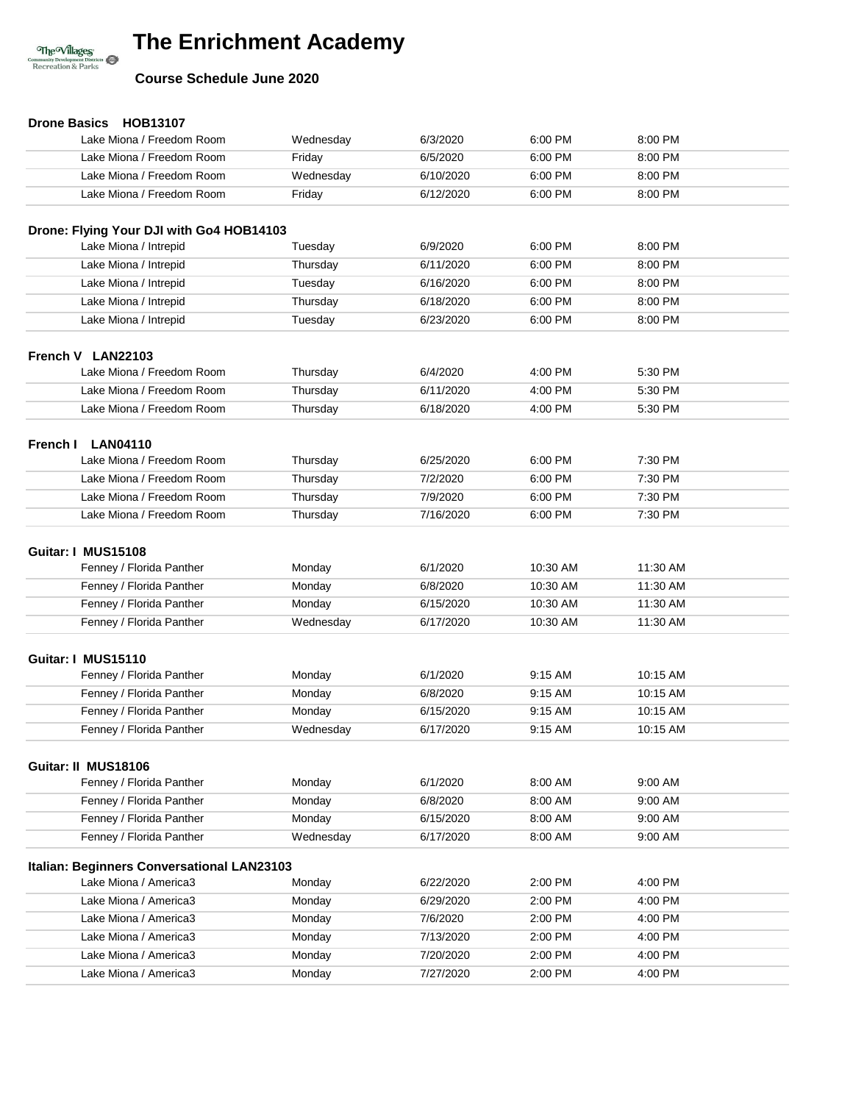

### **Course Schedule June 2020**

| Drone Basics HOB13107                      |           |           |          |          |  |
|--------------------------------------------|-----------|-----------|----------|----------|--|
| Lake Miona / Freedom Room                  | Wednesday | 6/3/2020  | 6:00 PM  | 8:00 PM  |  |
| Lake Miona / Freedom Room                  | Friday    | 6/5/2020  | 6:00 PM  | 8:00 PM  |  |
| Lake Miona / Freedom Room                  | Wednesday | 6/10/2020 | 6:00 PM  | 8:00 PM  |  |
| Lake Miona / Freedom Room                  | Friday    | 6/12/2020 | 6:00 PM  | 8:00 PM  |  |
|                                            |           |           |          |          |  |
| Drone: Flying Your DJI with Go4 HOB14103   |           |           |          |          |  |
| Lake Miona / Intrepid                      | Tuesday   | 6/9/2020  | 6:00 PM  | 8:00 PM  |  |
| Lake Miona / Intrepid                      | Thursday  | 6/11/2020 | 6:00 PM  | 8:00 PM  |  |
| Lake Miona / Intrepid                      | Tuesday   | 6/16/2020 | 6:00 PM  | 8:00 PM  |  |
| Lake Miona / Intrepid                      | Thursday  | 6/18/2020 | 6:00 PM  | 8:00 PM  |  |
| Lake Miona / Intrepid                      | Tuesday   | 6/23/2020 | 6:00 PM  | 8:00 PM  |  |
|                                            |           |           |          |          |  |
| French V LAN22103                          |           |           |          |          |  |
| Lake Miona / Freedom Room                  | Thursday  | 6/4/2020  | 4:00 PM  | 5:30 PM  |  |
| Lake Miona / Freedom Room                  | Thursday  | 6/11/2020 | 4:00 PM  | 5:30 PM  |  |
| Lake Miona / Freedom Room                  | Thursday  | 6/18/2020 | 4:00 PM  | 5:30 PM  |  |
| French I<br><b>LAN04110</b>                |           |           |          |          |  |
| Lake Miona / Freedom Room                  | Thursday  | 6/25/2020 | 6:00 PM  | 7:30 PM  |  |
| Lake Miona / Freedom Room                  | Thursday  | 7/2/2020  | 6:00 PM  | 7:30 PM  |  |
| Lake Miona / Freedom Room                  | Thursday  | 7/9/2020  | 6:00 PM  | 7:30 PM  |  |
| Lake Miona / Freedom Room                  | Thursday  | 7/16/2020 | 6:00 PM  | 7:30 PM  |  |
|                                            |           |           |          |          |  |
| Guitar: I MUS15108                         |           |           |          |          |  |
| Fenney / Florida Panther                   | Monday    | 6/1/2020  | 10:30 AM | 11:30 AM |  |
| Fenney / Florida Panther                   | Monday    | 6/8/2020  | 10:30 AM | 11:30 AM |  |
| Fenney / Florida Panther                   | Monday    | 6/15/2020 | 10:30 AM | 11:30 AM |  |
| Fenney / Florida Panther                   | Wednesday | 6/17/2020 | 10:30 AM | 11:30 AM |  |
|                                            |           |           |          |          |  |
| Guitar: I MUS15110                         |           |           |          |          |  |
| Fenney / Florida Panther                   | Monday    | 6/1/2020  | 9:15 AM  | 10:15 AM |  |
| Fenney / Florida Panther                   | Monday    | 6/8/2020  | 9:15 AM  | 10:15 AM |  |
| Fenney / Florida Panther                   | Monday    | 6/15/2020 | 9:15 AM  | 10:15 AM |  |
| Fenney / Florida Panther                   | Wednesday | 6/17/2020 | 9:15 AM  | 10:15 AM |  |
|                                            |           |           |          |          |  |
| Guitar: II MUS18106                        |           |           |          |          |  |
| Fenney / Florida Panther                   | Monday    | 6/1/2020  | 8:00 AM  | 9:00 AM  |  |
| Fenney / Florida Panther                   | Monday    | 6/8/2020  | 8:00 AM  | 9:00 AM  |  |
| Fenney / Florida Panther                   | Monday    | 6/15/2020 | 8:00 AM  | 9:00 AM  |  |
| Fenney / Florida Panther                   | Wednesday | 6/17/2020 | 8:00 AM  | 9:00 AM  |  |
| Italian: Beginners Conversational LAN23103 |           |           |          |          |  |
| Lake Miona / America3                      | Monday    | 6/22/2020 | 2:00 PM  | 4:00 PM  |  |
| Lake Miona / America3                      | Monday    | 6/29/2020 | 2:00 PM  | 4:00 PM  |  |
| Lake Miona / America3                      | Monday    | 7/6/2020  | 2:00 PM  | 4:00 PM  |  |
| Lake Miona / America3                      | Monday    | 7/13/2020 | 2:00 PM  | 4:00 PM  |  |
| Lake Miona / America3                      | Monday    | 7/20/2020 | 2:00 PM  | 4:00 PM  |  |
| Lake Miona / America3                      | Monday    | 7/27/2020 | 2:00 PM  | 4:00 PM  |  |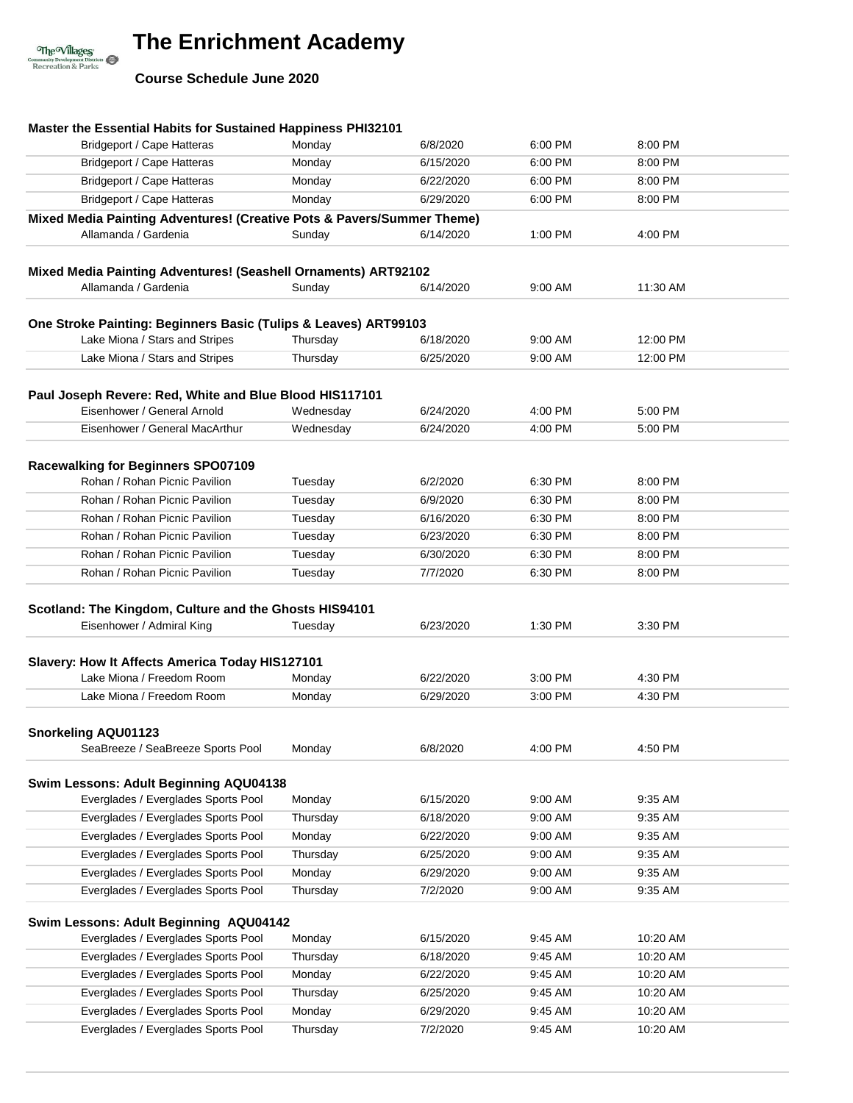**Course Schedule June 2020**

The Willages<br>
Community Development Districts<br>
Recreation & Parks

| Master the Essential Habits for Sustained Happiness PHI32101                                   |           |           |         |          |  |
|------------------------------------------------------------------------------------------------|-----------|-----------|---------|----------|--|
| Bridgeport / Cape Hatteras                                                                     | Monday    | 6/8/2020  | 6:00 PM | 8:00 PM  |  |
| Bridgeport / Cape Hatteras                                                                     | Monday    | 6/15/2020 | 6:00 PM | 8:00 PM  |  |
| Bridgeport / Cape Hatteras                                                                     | Monday    | 6/22/2020 | 6:00 PM | 8:00 PM  |  |
| <b>Bridgeport / Cape Hatteras</b>                                                              | Monday    | 6/29/2020 | 6:00 PM | 8:00 PM  |  |
| Mixed Media Painting Adventures! (Creative Pots & Pavers/Summer Theme)<br>Allamanda / Gardenia | Sunday    | 6/14/2020 | 1:00 PM | 4:00 PM  |  |
| Mixed Media Painting Adventures! (Seashell Ornaments) ART92102                                 |           |           |         |          |  |
| Allamanda / Gardenia                                                                           | Sunday    | 6/14/2020 | 9:00 AM | 11:30 AM |  |
|                                                                                                |           |           |         |          |  |
| One Stroke Painting: Beginners Basic (Tulips & Leaves) ART99103                                |           |           |         |          |  |
| Lake Miona / Stars and Stripes                                                                 | Thursday  | 6/18/2020 | 9:00 AM | 12:00 PM |  |
| Lake Miona / Stars and Stripes                                                                 | Thursday  | 6/25/2020 | 9:00 AM | 12:00 PM |  |
|                                                                                                |           |           |         |          |  |
| Paul Joseph Revere: Red, White and Blue Blood HIS117101<br>Eisenhower / General Arnold         | Wednesday | 6/24/2020 | 4:00 PM | 5:00 PM  |  |
| Eisenhower / General MacArthur                                                                 | Wednesday | 6/24/2020 | 4:00 PM | 5:00 PM  |  |
|                                                                                                |           |           |         |          |  |
| Racewalking for Beginners SPO07109                                                             |           |           |         |          |  |
| Rohan / Rohan Picnic Pavilion                                                                  | Tuesday   | 6/2/2020  | 6:30 PM | 8:00 PM  |  |
| Rohan / Rohan Picnic Pavilion                                                                  | Tuesday   | 6/9/2020  | 6:30 PM | 8:00 PM  |  |
| Rohan / Rohan Picnic Pavilion                                                                  | Tuesday   | 6/16/2020 | 6:30 PM | 8:00 PM  |  |
| Rohan / Rohan Picnic Pavilion                                                                  | Tuesday   | 6/23/2020 | 6:30 PM | 8:00 PM  |  |
| Rohan / Rohan Picnic Pavilion                                                                  | Tuesday   | 6/30/2020 | 6:30 PM | 8:00 PM  |  |
| Rohan / Rohan Picnic Pavilion                                                                  | Tuesday   | 7/7/2020  | 6:30 PM | 8:00 PM  |  |
| Eisenhower / Admiral King<br>Slavery: How It Affects America Today HIS127101                   | Tuesday   | 6/23/2020 | 1:30 PM | 3:30 PM  |  |
| Lake Miona / Freedom Room                                                                      | Monday    | 6/22/2020 | 3:00 PM | 4:30 PM  |  |
| Lake Miona / Freedom Room                                                                      | Monday    | 6/29/2020 | 3:00 PM | 4:30 PM  |  |
|                                                                                                |           |           |         |          |  |
| <b>Snorkeling AQU01123</b><br>SeaBreeze / SeaBreeze Sports Pool                                | Monday    | 6/8/2020  | 4:00 PM | 4:50 PM  |  |
|                                                                                                |           |           |         |          |  |
| Swim Lessons: Adult Beginning AQU04138                                                         |           |           |         |          |  |
| Everglades / Everglades Sports Pool                                                            | Monday    | 6/15/2020 | 9:00 AM | 9:35 AM  |  |
| Everglades / Everglades Sports Pool                                                            | Thursday  | 6/18/2020 | 9:00 AM | 9:35 AM  |  |
| Everglades / Everglades Sports Pool                                                            | Monday    | 6/22/2020 | 9:00 AM | 9:35 AM  |  |
| Everglades / Everglades Sports Pool                                                            | Thursday  | 6/25/2020 | 9:00 AM | 9:35 AM  |  |
| Everglades / Everglades Sports Pool                                                            | Monday    | 6/29/2020 | 9:00 AM | 9:35 AM  |  |
| Everglades / Everglades Sports Pool                                                            | Thursday  | 7/2/2020  | 9:00 AM | 9:35 AM  |  |
| Swim Lessons: Adult Beginning AQU04142                                                         |           |           |         |          |  |
| Everglades / Everglades Sports Pool                                                            | Monday    | 6/15/2020 | 9:45 AM | 10:20 AM |  |
| Everglades / Everglades Sports Pool                                                            | Thursday  | 6/18/2020 | 9:45 AM | 10:20 AM |  |
| Everglades / Everglades Sports Pool                                                            | Monday    | 6/22/2020 | 9:45 AM | 10:20 AM |  |
| Everglades / Everglades Sports Pool                                                            | Thursday  | 6/25/2020 | 9:45 AM | 10:20 AM |  |
| Everglades / Everglades Sports Pool                                                            | Monday    | 6/29/2020 | 9:45 AM | 10:20 AM |  |
| Everglades / Everglades Sports Pool                                                            | Thursday  | 7/2/2020  | 9:45 AM | 10:20 AM |  |
|                                                                                                |           |           |         |          |  |